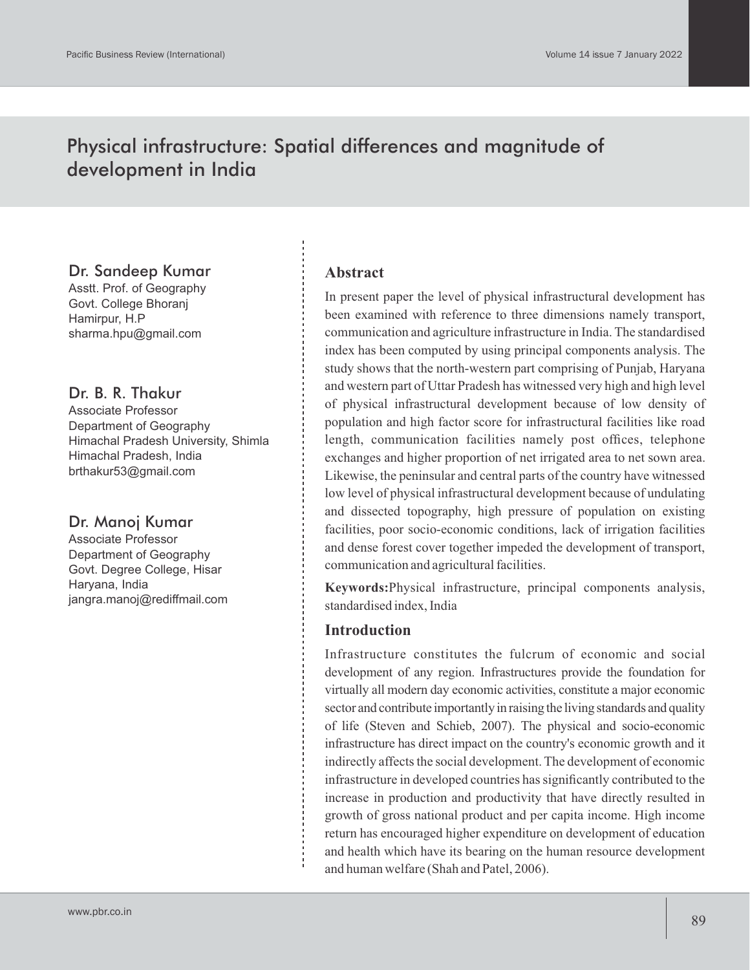# Physical infrastructure: Spatial differences and magnitude of development in India

### Dr. Sandeep Kumar

Asstt. Prof. of Geography Govt. College Bhoranj Hamirpur, H.P sharma.hpu@gmail.com

## Dr. B. R. Thakur

Associate Professor Department of Geography Himachal Pradesh University, Shimla Himachal Pradesh, India brthakur53@gmail.com

## Dr. Manoj Kumar

Associate Professor Department of Geography Govt. Degree College, Hisar Haryana, India jangra.manoj@rediffmail.com

### **Abstract**

In present paper the level of physical infrastructural development has been examined with reference to three dimensions namely transport, communication and agriculture infrastructure in India. The standardised index has been computed by using principal components analysis. The study shows that the north-western part comprising of Punjab, Haryana and western part of Uttar Pradesh has witnessed very high and high level of physical infrastructural development because of low density of population and high factor score for infrastructural facilities like road length, communication facilities namely post offices, telephone exchanges and higher proportion of net irrigated area to net sown area. Likewise, the peninsular and central parts of the country have witnessed low level of physical infrastructural development because of undulating and dissected topography, high pressure of population on existing facilities, poor socio-economic conditions, lack of irrigation facilities and dense forest cover together impeded the development of transport, communication and agricultural facilities.

**Keywords:**Physical infrastructure, principal components analysis, standardised index, India

### **Introduction**

Infrastructure constitutes the fulcrum of economic and social development of any region. Infrastructures provide the foundation for virtually all modern day economic activities, constitute a major economic sector and contribute importantly in raising the living standards and quality of life (Steven and Schieb, 2007). The physical and socio-economic infrastructure has direct impact on the country's economic growth and it indirectly affects the social development. The development of economic infrastructure in developed countries has significantly contributed to the increase in production and productivity that have directly resulted in growth of gross national product and per capita income. High income return has encouraged higher expenditure on development of education and health which have its bearing on the human resource development and human welfare (Shah and Patel, 2006).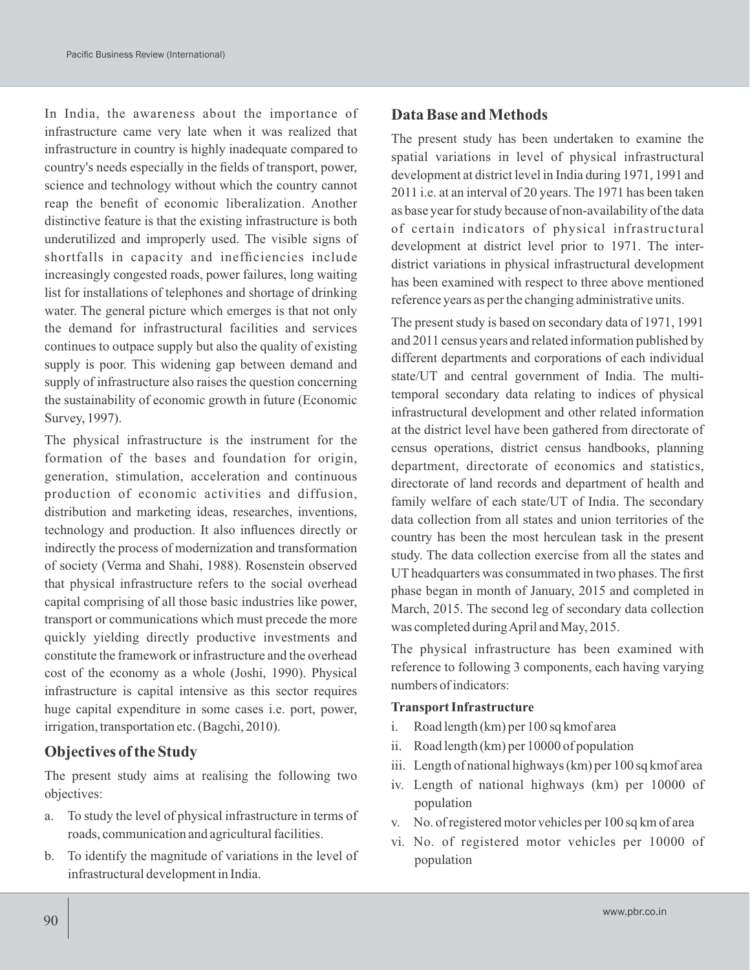In India, the awareness about the importance of infrastructure came very late when it was realized that infrastructure in country is highly inadequate compared to country's needs especially in the fields of transport, power, science and technology without which the country cannot reap the benefit of economic liberalization. Another distinctive feature is that the existing infrastructure is both underutilized and improperly used. The visible signs of shortfalls in capacity and inefficiencies include increasingly congested roads, power failures, long waiting list for installations of telephones and shortage of drinking water. The general picture which emerges is that not only the demand for infrastructural facilities and services continues to outpace supply but also the quality of existing supply is poor. This widening gap between demand and supply of infrastructure also raises the question concerning the sustainability of economic growth in future (Economic Survey, 1997).

The physical infrastructure is the instrument for the formation of the bases and foundation for origin, generation, stimulation, acceleration and continuous production of economic activities and diffusion, distribution and marketing ideas, researches, inventions, technology and production. It also influences directly or indirectly the process of modernization and transformation of society (Verma and Shahi, 1988). Rosenstein observed that physical infrastructure refers to the social overhead capital comprising of all those basic industries like power, transport or communications which must precede the more quickly yielding directly productive investments and constitute the framework or infrastructure and the overhead cost of the economy as a whole (Joshi, 1990). Physical infrastructure is capital intensive as this sector requires huge capital expenditure in some cases i.e. port, power, irrigation, transportation etc. (Bagchi, 2010).

### **Objectives of the Study**

The present study aims at realising the following two objectives:

- a. To study the level of physical infrastructure in terms of roads, communication and agricultural facilities.
- b. To identify the magnitude of variations in the level of infrastructural development in India.

### **Data Base and Methods**

The present study has been undertaken to examine the spatial variations in level of physical infrastructural development at district level in India during 1971, 1991 and 2011 i.e. at an interval of 20 years. The 1971 has been taken as base year for study because of non-availability of the data of certain indicators of physical infrastructural development at district level prior to 1971. The interdistrict variations in physical infrastructural development has been examined with respect to three above mentioned reference years as per the changing administrative units.

The present study is based on secondary data of 1971, 1991 and 2011 census years and related information published by different departments and corporations of each individual state/UT and central government of India. The multitemporal secondary data relating to indices of physical infrastructural development and other related information at the district level have been gathered from directorate of census operations, district census handbooks, planning department, directorate of economics and statistics, directorate of land records and department of health and family welfare of each state/UT of India. The secondary data collection from all states and union territories of the country has been the most herculean task in the present study. The data collection exercise from all the states and UT headquarters was consummated in two phases. The first phase began in month of January, 2015 and completed in March, 2015. The second leg of secondary data collection was completed during April and May, 2015.

The physical infrastructure has been examined with reference to following 3 components, each having varying numbers of indicators:

#### **Transport Infrastructure**

- i. Road length (km) per 100 sq kmof area
- ii. Road length (km) per 10000 of population
- iii. Length of national highways (km) per 100 sq kmof area
- iv. Length of national highways (km) per 10000 of population
- v. No. of registered motor vehicles per 100 sq km of area
- vi. No. of registered motor vehicles per 10000 of population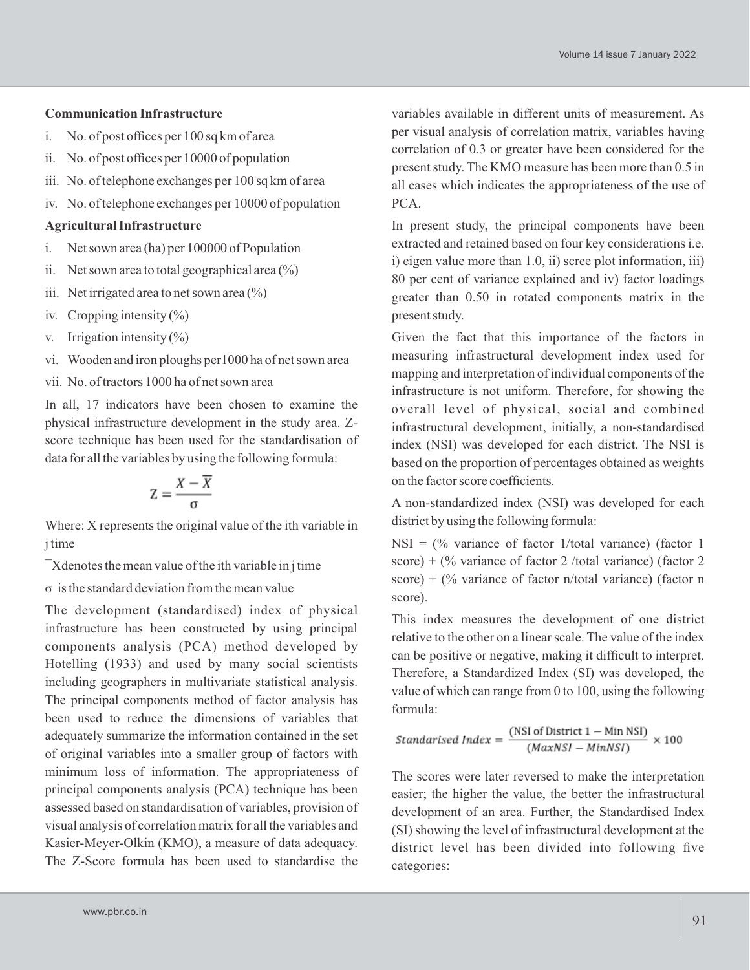#### **Communication Infrastructure**

- i. No. of post offices per 100 sq km of area
- ii. No. of post offices per 10000 of population
- iii. No. of telephone exchanges per 100 sq km of area
- iv. No. of telephone exchanges per 10000 of population

#### **Agricultural Infrastructure**

- i. Net sown area (ha) per 100000 of Population
- ii. Net sown area to total geographical area  $(\%)$
- iii. Net irrigated area to net sown area  $\binom{0}{0}$
- iv. Cropping intensity  $(\% )$
- v. Irrigation intensity  $(\%)$
- vi. Wooden and iron ploughs per1000 ha of net sown area
- vii. No. of tractors 1000 ha of net sown area

In all, 17 indicators have been chosen to examine the physical infrastructure development in the study area. Zscore technique has been used for the standardisation of data for all the variables by using the following formula:

$$
Z = \frac{X - \overline{X}}{\sigma}
$$

Where: X represents the original value of the ith variable in j time

¯Xdenotes the mean value of the ith variable in j time

σ is the standard deviation from the mean value

The development (standardised) index of physical infrastructure has been constructed by using principal components analysis (PCA) method developed by Hotelling (1933) and used by many social scientists including geographers in multivariate statistical analysis. The principal components method of factor analysis has been used to reduce the dimensions of variables that adequately summarize the information contained in the set of original variables into a smaller group of factors with minimum loss of information. The appropriateness of principal components analysis (PCA) technique has been assessed based on standardisation of variables, provision of visual analysis of correlation matrix for all the variables and Kasier-Meyer-Olkin (KMO), a measure of data adequacy. The Z-Score formula has been used to standardise the variables available in different units of measurement. As per visual analysis of correlation matrix, variables having correlation of 0.3 or greater have been considered for the present study. The KMO measure has been more than 0.5 in all cases which indicates the appropriateness of the use of PCA.

In present study, the principal components have been extracted and retained based on four key considerations i.e. i) eigen value more than 1.0, ii) scree plot information, iii) 80 per cent of variance explained and iv) factor loadings greater than 0.50 in rotated components matrix in the present study.

Given the fact that this importance of the factors in measuring infrastructural development index used for mapping and interpretation of individual components of the infrastructure is not uniform. Therefore, for showing the overall level of physical, social and combined infrastructural development, initially, a non-standardised index (NSI) was developed for each district. The NSI is based on the proportion of percentages obtained as weights on the factor score coefficients.

A non-standardized index (NSI) was developed for each district by using the following formula:

 $NSI = \frac{0}{0}$  variance of factor 1/total variance) (factor 1 score) + (% variance of factor 2 /total variance) (factor 2 score) + (% variance of factor n/total variance) (factor n score).

This index measures the development of one district relative to the other on a linear scale. The value of the index can be positive or negative, making it difficult to interpret. Therefore, a Standardized Index (SI) was developed, the value of which can range from 0 to 100, using the following formula:

Standardised Index = 
$$
\frac{\text{(NSI of District 1 - Min NSI)}}{\text{(MaxNSI - MinNSI)}} \times 100
$$

The scores were later reversed to make the interpretation easier; the higher the value, the better the infrastructural development of an area. Further, the Standardised Index (SI) showing the level of infrastructural development at the district level has been divided into following five categories: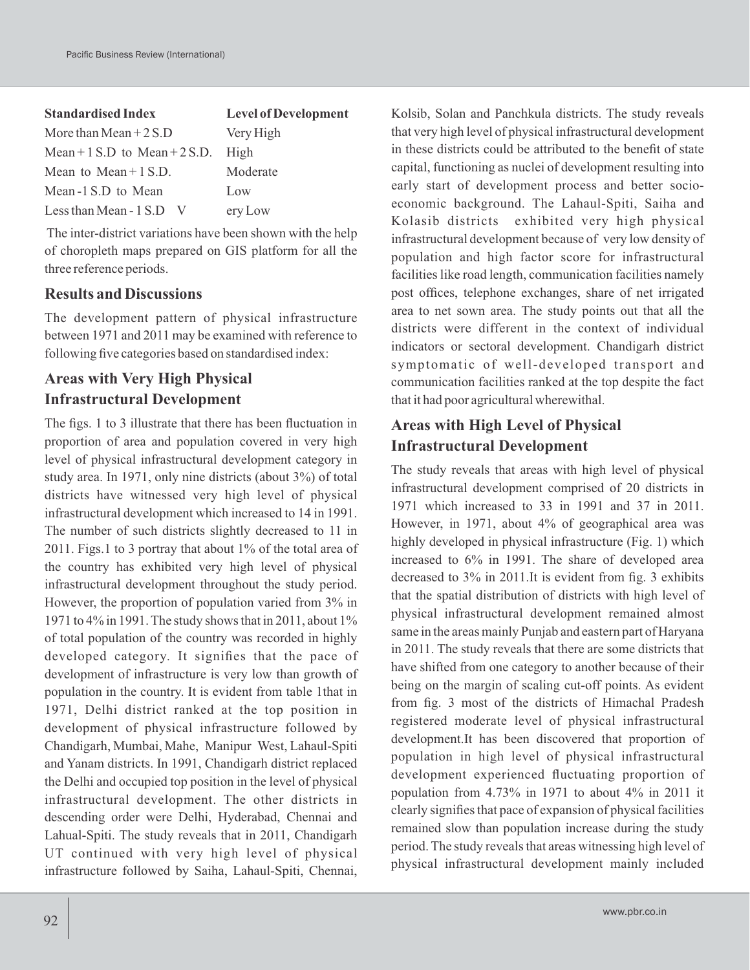| <b>Standardised Index</b>         | <b>Level of Development</b> |  |  |
|-----------------------------------|-----------------------------|--|--|
| More than Mean $+2$ S.D           | Very High                   |  |  |
| Mean + $1$ S.D to Mean + $2$ S.D. | High                        |  |  |
| Mean to Mean $+1$ S.D.            | Moderate                    |  |  |
| Mean -1 S.D to Mean               | Low                         |  |  |
| Less than Mean - 1 S.D            | ery Low                     |  |  |

The inter-district variations have been shown with the help of choropleth maps prepared on GIS platform for all the three reference periods.

## **Results and Discussions**

The development pattern of physical infrastructure between 1971 and 2011 may be examined with reference to following five categories based on standardised index:

## **Areas with Very High Physical Infrastructural Development**

The figs. 1 to 3 illustrate that there has been fluctuation in proportion of area and population covered in very high level of physical infrastructural development category in study area. In 1971, only nine districts (about 3%) of total districts have witnessed very high level of physical infrastructural development which increased to 14 in 1991. The number of such districts slightly decreased to 11 in 2011. Figs.1 to 3 portray that about 1% of the total area of the country has exhibited very high level of physical infrastructural development throughout the study period. However, the proportion of population varied from 3% in 1971 to 4% in 1991. The study shows that in 2011, about 1% of total population of the country was recorded in highly developed category. It signifies that the pace of development of infrastructure is very low than growth of population in the country. It is evident from table 1that in 1971, Delhi district ranked at the top position in development of physical infrastructure followed by Chandigarh, Mumbai, Mahe, Manipur West, Lahaul-Spiti and Yanam districts. In 1991, Chandigarh district replaced the Delhi and occupied top position in the level of physical infrastructural development. The other districts in descending order were Delhi, Hyderabad, Chennai and Lahual-Spiti. The study reveals that in 2011, Chandigarh UT continued with very high level of physical infrastructure followed by Saiha, Lahaul-Spiti, Chennai,

Kolsib, Solan and Panchkula districts. The study reveals that very high level of physical infrastructural development in these districts could be attributed to the benefit of state capital, functioning as nuclei of development resulting into early start of development process and better socioeconomic background. The Lahaul-Spiti, Saiha and Kolasib districts exhibited very high physical infrastructural development because of very low density of population and high factor score for infrastructural facilities like road length, communication facilities namely post offices, telephone exchanges, share of net irrigated area to net sown area. The study points out that all the districts were different in the context of individual indicators or sectoral development. Chandigarh district symptomatic of well-developed transport and communication facilities ranked at the top despite the fact that it had poor agricultural wherewithal.

## **Areas with High Level of Physical Infrastructural Development**

The study reveals that areas with high level of physical infrastructural development comprised of 20 districts in 1971 which increased to 33 in 1991 and 37 in 2011. However, in 1971, about 4% of geographical area was highly developed in physical infrastructure (Fig. 1) which increased to 6% in 1991. The share of developed area decreased to 3% in 2011.It is evident from fig. 3 exhibits that the spatial distribution of districts with high level of physical infrastructural development remained almost same in the areas mainly Punjab and eastern part of Haryana in 2011. The study reveals that there are some districts that have shifted from one category to another because of their being on the margin of scaling cut-off points. As evident from fig. 3 most of the districts of Himachal Pradesh registered moderate level of physical infrastructural development.It has been discovered that proportion of population in high level of physical infrastructural development experienced fluctuating proportion of population from 4.73% in 1971 to about 4% in 2011 it clearly signifies that pace of expansion of physical facilities remained slow than population increase during the study period. The study reveals that areas witnessing high level of physical infrastructural development mainly included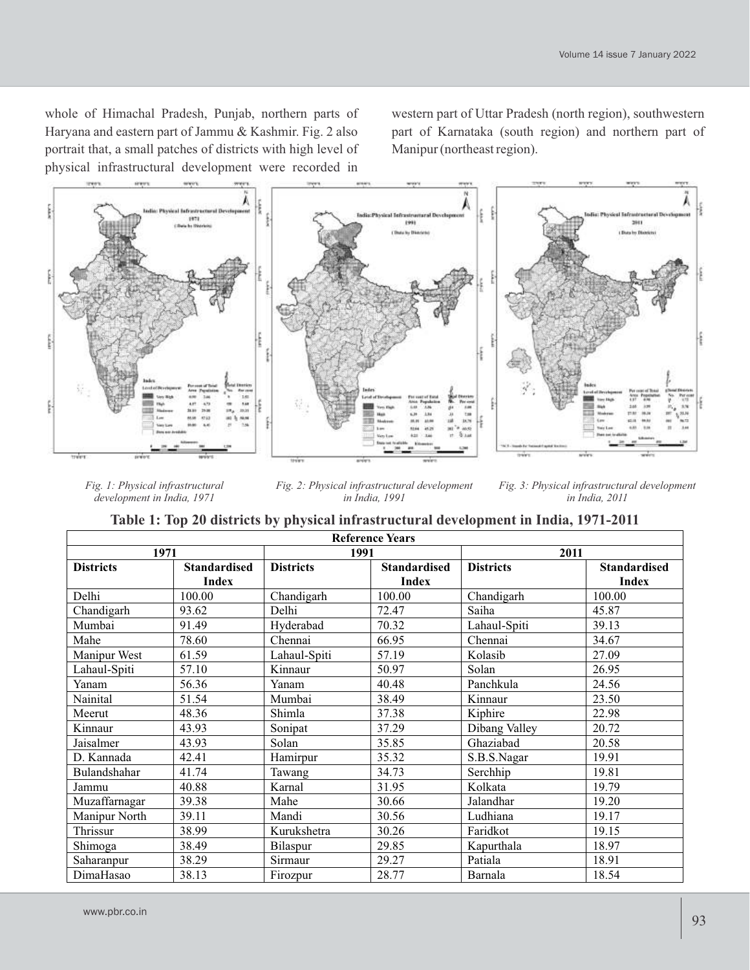whole of Himachal Pradesh, Punjab, northern parts of Haryana and eastern part of Jammu & Kashmir. Fig. 2 also portrait that, a small patches of districts with high level of physical infrastructural development were recorded in western part of Uttar Pradesh (north region), southwestern part of Karnataka (south region) and northern part of Manipur (northeast region).



*Fig. 1: Physical infrastructural development in India, 1971* 

*Fig. 2: Physical infrastructural development in India, 1991*

*Fig. 3: Physical infrastructural development in India, 2011*

|  |  | Table 1: Top 20 districts by physical infrastructural development in India, 1971-2011 |  |  |
|--|--|---------------------------------------------------------------------------------------|--|--|
|--|--|---------------------------------------------------------------------------------------|--|--|

| <b>Reference Years</b> |                     |                  |                     |                  |                     |
|------------------------|---------------------|------------------|---------------------|------------------|---------------------|
| 1971                   |                     | 1991             |                     | 2011             |                     |
| <b>Districts</b>       | <b>Standardised</b> | <b>Districts</b> | <b>Standardised</b> | <b>Districts</b> | <b>Standardised</b> |
|                        | <b>Index</b>        |                  | <b>Index</b>        |                  | <b>Index</b>        |
| Delhi                  | 100.00              | Chandigarh       | 100.00              | Chandigarh       | 100.00              |
| Chandigarh             | 93.62               | Delhi            | 72.47               | Saiha            | 45.87               |
| Mumbai                 | 91.49               | Hyderabad        | 70.32               | Lahaul-Spiti     | 39.13               |
| Mahe                   | 78.60               | Chennai          | 66.95               | Chennai          | 34.67               |
| Manipur West           | 61.59               | Lahaul-Spiti     | 57.19               | Kolasib          | 27.09               |
| Lahaul-Spiti           | 57.10               | Kinnaur          | 50.97               | Solan            | 26.95               |
| Yanam                  | 56.36               | Yanam            | 40.48               | Panchkula        | 24.56               |
| Nainital               | 51.54               | Mumbai           | 38.49               | Kinnaur          | 23.50               |
| Meerut                 | 48.36               | Shimla           | 37.38               | Kiphire          | 22.98               |
| Kinnaur                | 43.93               | Sonipat          | 37.29               | Dibang Valley    | 20.72               |
| Jaisalmer              | 43.93               | Solan            | 35.85               | Ghaziabad        | 20.58               |
| D. Kannada             | 42.41               | Hamirpur         | 35.32               | S.B.S.Nagar      | 19.91               |
| Bulandshahar           | 41.74               | Tawang           | 34.73               | Serchhip         | 19.81               |
| Jammu                  | 40.88               | Karnal           | 31.95               | Kolkata          | 19.79               |
| Muzaffarnagar          | 39.38               | Mahe             | 30.66               | Jalandhar        | 19.20               |
| Manipur North          | 39.11               | Mandi            | 30.56               | Ludhiana         | 19.17               |
| Thrissur               | 38.99               | Kurukshetra      | 30.26               | Faridkot         | 19.15               |
| Shimoga                | 38.49               | Bilaspur         | 29.85               | Kapurthala       | 18.97               |
| Saharanpur             | 38.29               | Sirmaur          | 29.27               | Patiala          | 18.91               |
| DimaHasao              | 38.13               | Firozpur         | 28.77               | Barnala          | 18.54               |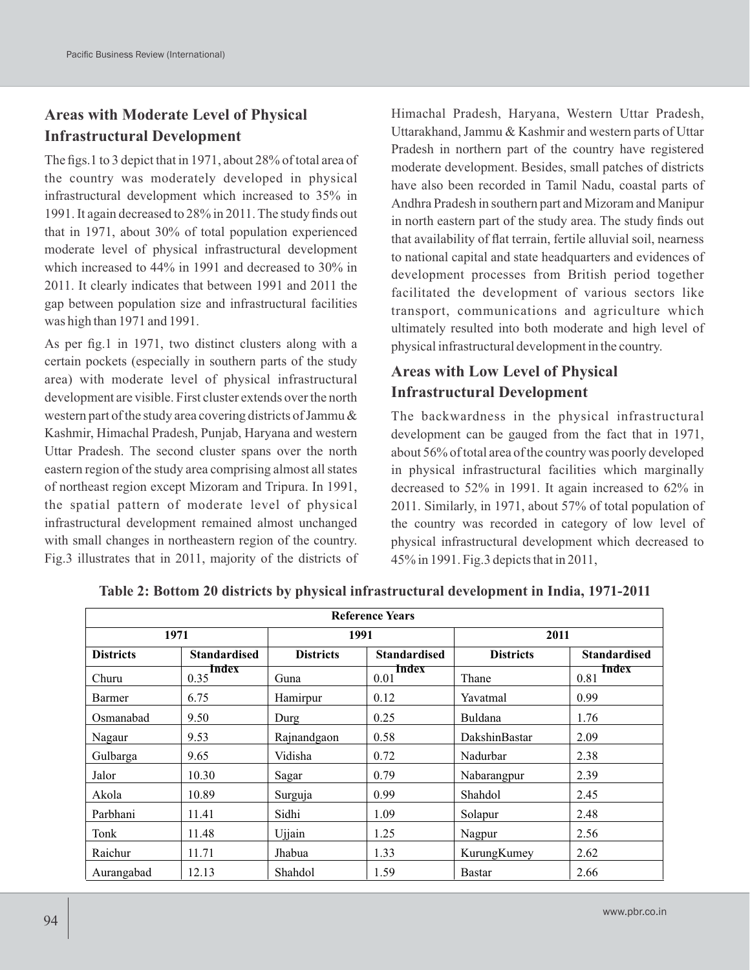## **Areas with Moderate Level of Physical Infrastructural Development**

The figs.1 to 3 depict that in 1971, about 28% of total area of the country was moderately developed in physical infrastructural development which increased to 35% in 1991. It again decreased to 28% in 2011. The study finds out that in 1971, about 30% of total population experienced moderate level of physical infrastructural development which increased to 44% in 1991 and decreased to 30% in 2011. It clearly indicates that between 1991 and 2011 the gap between population size and infrastructural facilities was high than 1971 and 1991.

As per fig.1 in 1971, two distinct clusters along with a certain pockets (especially in southern parts of the study area) with moderate level of physical infrastructural development are visible. First cluster extends over the north western part of the study area covering districts of Jammu & Kashmir, Himachal Pradesh, Punjab, Haryana and western Uttar Pradesh. The second cluster spans over the north eastern region of the study area comprising almost all states of northeast region except Mizoram and Tripura. In 1991, the spatial pattern of moderate level of physical infrastructural development remained almost unchanged with small changes in northeastern region of the country. Fig.3 illustrates that in 2011, majority of the districts of Himachal Pradesh, Haryana, Western Uttar Pradesh, Uttarakhand, Jammu & Kashmir and western parts of Uttar Pradesh in northern part of the country have registered moderate development. Besides, small patches of districts have also been recorded in Tamil Nadu, coastal parts of Andhra Pradesh in southern part and Mizoram and Manipur in north eastern part of the study area. The study finds out that availability of flat terrain, fertile alluvial soil, nearness to national capital and state headquarters and evidences of development processes from British period together facilitated the development of various sectors like transport, communications and agriculture which ultimately resulted into both moderate and high level of physical infrastructural development in the country.

## **Areas with Low Level of Physical Infrastructural Development**

The backwardness in the physical infrastructural development can be gauged from the fact that in 1971, about 56% of total area of the country was poorly developed in physical infrastructural facilities which marginally decreased to 52% in 1991. It again increased to 62% in 2011. Similarly, in 1971, about 57% of total population of the country was recorded in category of low level of physical infrastructural development which decreased to 45% in 1991. Fig.3 depicts that in 2011,

| <b>Reference Years</b> |                     |                  |                     |                  |                     |
|------------------------|---------------------|------------------|---------------------|------------------|---------------------|
| 1971                   |                     | 1991             |                     | 2011             |                     |
| <b>Districts</b>       | <b>Standardised</b> | <b>Districts</b> | <b>Standardised</b> | <b>Districts</b> | <b>Standardised</b> |
| Churu                  | Index<br>0.35       | Guna             | Index<br>0.01       | Thane            | Index<br>0.81       |
| Barmer                 | 6.75                | Hamirpur         | 0.12                | Yavatmal         | 0.99                |
| Osmanabad              | 9.50                | Durg             | 0.25                | Buldana          | 1.76                |
| Nagaur                 | 9.53                | Rajnandgaon      | 0.58                | DakshinBastar    | 2.09                |
| Gulbarga               | 9.65                | Vidisha          | 0.72                | Nadurbar         | 2.38                |
| Jalor                  | 10.30               | Sagar            | 0.79                | Nabarangpur      | 2.39                |
| Akola                  | 10.89               | Surguja          | 0.99                | Shahdol          | 2.45                |
| Parbhani               | 11.41               | Sidhi            | 1.09                | Solapur          | 2.48                |
| Tonk                   | 11.48               | Ujjain           | 1.25                | Nagpur           | 2.56                |
| Raichur                | 11.71               | Jhabua           | 1.33                | KurungKumey      | 2.62                |
| Aurangabad             | 12.13               | Shahdol          | 1.59                | <b>Bastar</b>    | 2.66                |

**Table 2: Bottom 20 districts by physical infrastructural development in India, 1971-2011**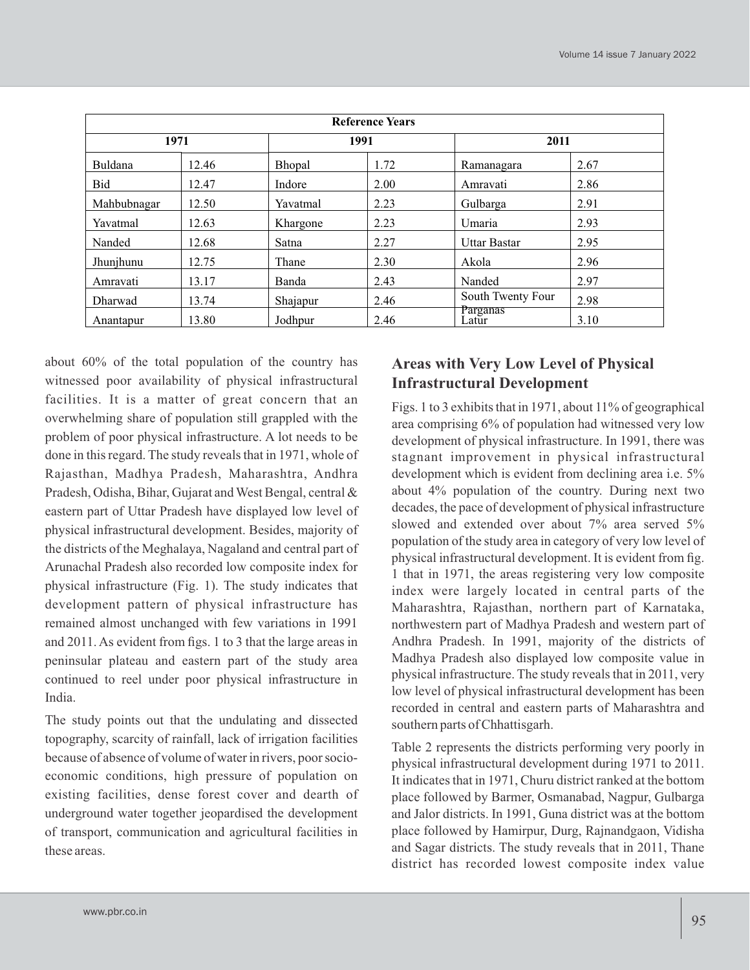| <b>Reference Years</b> |       |          |      |                     |      |  |
|------------------------|-------|----------|------|---------------------|------|--|
| 1971                   |       |          | 1991 |                     | 2011 |  |
| Buldana                | 12.46 | Bhopal   | 1.72 | Ramanagara          | 2.67 |  |
| Bid                    | 12.47 | Indore   | 2.00 | Amravati            | 2.86 |  |
| Mahbubnagar            | 12.50 | Yavatmal | 2.23 | Gulbarga            | 2.91 |  |
| Yavatmal               | 12.63 | Khargone | 2.23 | Umaria              | 2.93 |  |
| Nanded                 | 12.68 | Satna    | 2.27 | <b>Uttar Bastar</b> | 2.95 |  |
| Jhunjhunu              | 12.75 | Thane    | 2.30 | Akola               | 2.96 |  |
| Amravati               | 13.17 | Banda    | 2.43 | Nanded              | 2.97 |  |
| <b>Dharwad</b>         | 13.74 | Shajapur | 2.46 | South Twenty Four   | 2.98 |  |
| Anantapur              | 13.80 | Jodhpur  | 2.46 | Parganas<br>Latur   | 3.10 |  |

about 60% of the total population of the country has witnessed poor availability of physical infrastructural facilities. It is a matter of great concern that an overwhelming share of population still grappled with the problem of poor physical infrastructure. A lot needs to be done in this regard. The study reveals that in 1971, whole of Rajasthan, Madhya Pradesh, Maharashtra, Andhra Pradesh, Odisha, Bihar, Gujarat and West Bengal, central & eastern part of Uttar Pradesh have displayed low level of physical infrastructural development. Besides, majority of the districts of the Meghalaya, Nagaland and central part of Arunachal Pradesh also recorded low composite index for physical infrastructure (Fig. 1). The study indicates that development pattern of physical infrastructure has remained almost unchanged with few variations in 1991 and 2011. As evident from figs. 1 to 3 that the large areas in peninsular plateau and eastern part of the study area continued to reel under poor physical infrastructure in India.

The study points out that the undulating and dissected topography, scarcity of rainfall, lack of irrigation facilities because of absence of volume of water in rivers, poor socioeconomic conditions, high pressure of population on existing facilities, dense forest cover and dearth of underground water together jeopardised the development of transport, communication and agricultural facilities in these areas.

## **Areas with Very Low Level of Physical Infrastructural Development**

Figs. 1 to 3 exhibits that in 1971, about 11% of geographical area comprising 6% of population had witnessed very low development of physical infrastructure. In 1991, there was stagnant improvement in physical infrastructural development which is evident from declining area i.e.  $5\%$ about 4% population of the country. During next two decades, the pace of development of physical infrastructure slowed and extended over about 7% area served 5% population of the study area in category of very low level of physical infrastructural development. It is evident from fig. 1 that in 1971, the areas registering very low composite index were largely located in central parts of the Maharashtra, Rajasthan, northern part of Karnataka, northwestern part of Madhya Pradesh and western part of Andhra Pradesh. In 1991, majority of the districts of Madhya Pradesh also displayed low composite value in physical infrastructure. The study reveals that in 2011, very low level of physical infrastructural development has been recorded in central and eastern parts of Maharashtra and southern parts of Chhattisgarh.

Table 2 represents the districts performing very poorly in physical infrastructural development during 1971 to 2011. It indicates that in 1971, Churu district ranked at the bottom place followed by Barmer, Osmanabad, Nagpur, Gulbarga and Jalor districts. In 1991, Guna district was at the bottom place followed by Hamirpur, Durg, Rajnandgaon, Vidisha and Sagar districts. The study reveals that in 2011, Thane district has recorded lowest composite index value